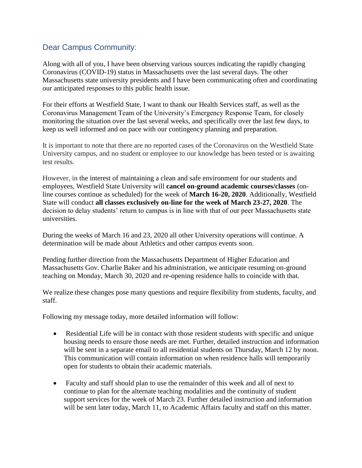## Dear Campus Community:

Along with all of you, I have been observing various sources indicating the rapidly changing Coronavirus (COVID-19) status in Massachusetts over the last several days. The other Massachusetts state university presidents and I have been communicating often and coordinating our anticipated responses to this public health issue.

For their efforts at Westfield State, I want to thank our Health Services staff, as well as the Coronavirus Management Team of the University's Emergency Response Team, for closely monitoring the situation over the last several weeks, and specifically over the last few days, to keep us well informed and on pace with our contingency planning and preparation.

It is important to note that there are no reported cases of the Coronavirus on the Westfield State University campus, and no student or employee to our knowledge has been tested or is awaiting test results.

However, in the interest of maintaining a clean and safe environment for our students and employees, Westfield State University will **cancel on-ground academic courses/classes** (online courses continue as scheduled) for the week of **March 16-20, 2020**. Additionally, Westfield State will conduct **all classes exclusively on-line for the week of March 23-27, 2020**. The decision to delay students' return to campus is in line with that of our peer Massachusetts state universities.

During the weeks of March 16 and 23, 2020 all other University operations will continue. A determination will be made about Athletics and other campus events soon.

Pending further direction from the Massachusetts Department of Higher Education and Massachusetts Gov. Charlie Baker and his administration, we anticipate resuming on-ground teaching on Monday, March 30, 2020 and re-opening residence halls to coincide with that.

We realize these changes pose many questions and require flexibility from students, faculty, and staff.

Following my message today, more detailed information will follow:

- Residential Life will be in contact with those resident students with specific and unique housing needs to ensure those needs are met. Further, detailed instruction and information will be sent in a separate email to all residential students on Thursday, March 12 by noon. This communication will contain information on when residence halls will temporarily open for students to obtain their academic materials.
- Faculty and staff should plan to use the remainder of this week and all of next to continue to plan for the alternate teaching modalities and the continuity of student support services for the week of March 23. Further detailed instruction and information will be sent later today, March 11, to Academic Affairs faculty and staff on this matter.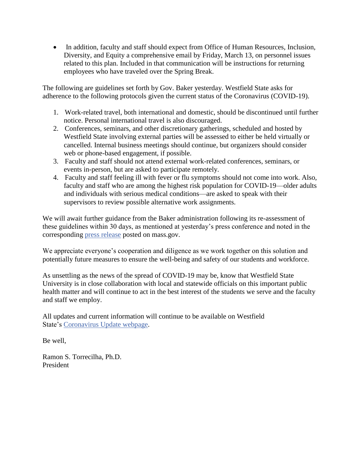• In addition, faculty and staff should expect from Office of Human Resources, Inclusion, Diversity, and Equity a comprehensive email by Friday, March 13, on personnel issues related to this plan. Included in that communication will be instructions for returning employees who have traveled over the Spring Break.

The following are guidelines set forth by Gov. Baker yesterday. Westfield State asks for adherence to the following protocols given the current status of the Coronavirus (COVID-19).

- 1. Work-related travel, both international and domestic, should be discontinued until further notice. Personal international travel is also discouraged.
- 2. Conferences, seminars, and other discretionary gatherings, scheduled and hosted by Westfield State involving external parties will be assessed to either be held virtually or cancelled. Internal business meetings should continue, but organizers should consider web or phone-based engagement, if possible.
- 3. Faculty and staff should not attend external work-related conferences, seminars, or events in-person, but are asked to participate remotely.
- 4. Faculty and staff feeling ill with fever or flu symptoms should not come into work. Also, faculty and staff who are among the highest risk population for COVID-19—older adults and individuals with serious medical conditions—are asked to speak with their supervisors to review possible alternative work assignments.

We will await further guidance from the Baker administration following its re-assessment of these guidelines within 30 days, as mentioned at yesterday's press conference and noted in the corresponding [press release](https://www.mass.gov/news/governor-baker-declares-state-of-emergency-to-support-commonwealths-response-to-coronavirus) posted on mass.gov.

We appreciate everyone's cooperation and diligence as we work together on this solution and potentially future measures to ensure the well-being and safety of our students and workforce.

As unsettling as the news of the spread of COVID-19 may be, know that Westfield State University is in close collaboration with local and statewide officials on this important public health matter and will continue to act in the best interest of the students we serve and the faculty and staff we employ.

All updates and current information will continue to be available on Westfield State's [Coronavirus Update webpage.](http://www.westfield.ma.edu/student-life/health-services/coronavirus-update)

Be well,

Ramon S. Torrecilha, Ph.D. President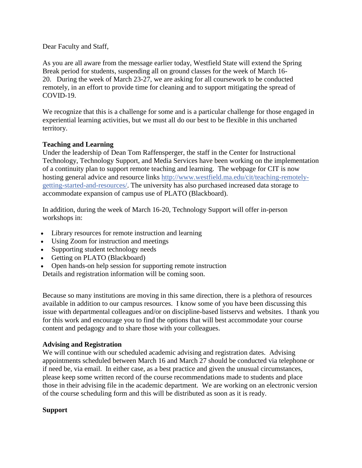Dear Faculty and Staff,

As you are all aware from the message earlier today, Westfield State will extend the Spring Break period for students, suspending all on ground classes for the week of March 16- 20. During the week of March 23-27, we are asking for all coursework to be conducted remotely, in an effort to provide time for cleaning and to support mitigating the spread of COVID-19.

We recognize that this is a challenge for some and is a particular challenge for those engaged in experiential learning activities, but we must all do our best to be flexible in this uncharted territory.

## **Teaching and Learning**

Under the leadership of Dean Tom Raffensperger, the staff in the Center for Instructional Technology, Technology Support, and Media Services have been working on the implementation of a continuity plan to support remote teaching and learning. The webpage for CIT is now hosting general advice and resource links [http://www.westfield.ma.edu/cit/teaching-remotely](http://www.westfield.ma.edu/cit/teaching-remotely-getting-started-and-resources/)[getting-started-and-resources/.](http://www.westfield.ma.edu/cit/teaching-remotely-getting-started-and-resources/) The university has also purchased increased data storage to accommodate expansion of campus use of PLATO (Blackboard).

In addition, during the week of March 16-20, Technology Support will offer in-person workshops in:

- Library resources for remote instruction and learning
- Using Zoom for instruction and meetings
- Supporting student technology needs
- Getting on PLATO (Blackboard)
- Open hands-on help session for supporting remote instruction

Details and registration information will be coming soon.

Because so many institutions are moving in this same direction, there is a plethora of resources available in addition to our campus resources. I know some of you have been discussing this issue with departmental colleagues and/or on discipline-based listservs and websites. I thank you for this work and encourage you to find the options that will best accommodate your course content and pedagogy and to share those with your colleagues.

## **Advising and Registration**

We will continue with our scheduled academic advising and registration dates. Advising appointments scheduled between March 16 and March 27 should be conducted via telephone or if need be, via email. In either case, as a best practice and given the unusual circumstances, please keep some written record of the course recommendations made to students and place those in their advising file in the academic department. We are working on an electronic version of the course scheduling form and this will be distributed as soon as it is ready.

## **Support**